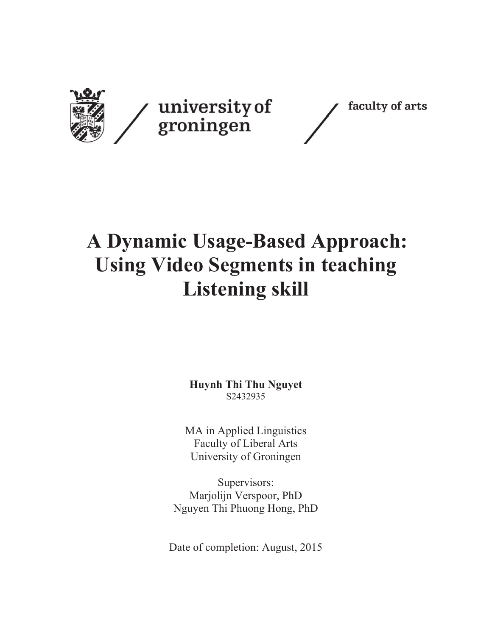

## **A Dynamic Usage-Based Approach: Using Video Segments in teaching Listening skill**

**Huynh Thi Thu Nguyet**  S2432935

MA in Applied Linguistics Faculty of Liberal Arts University of Groningen

Supervisors: Marjolijn Verspoor, PhD Nguyen Thi Phuong Hong, PhD

Date of completion: August, 2015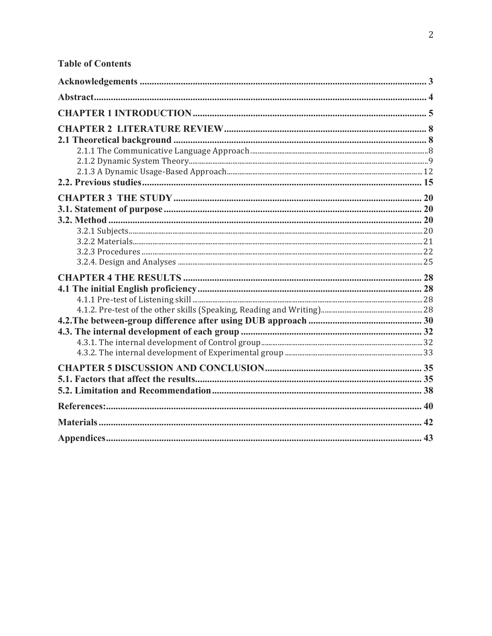| <b>Table of Contents</b> |  |
|--------------------------|--|
|                          |  |
|                          |  |
|                          |  |
|                          |  |
|                          |  |
|                          |  |
|                          |  |
|                          |  |
|                          |  |
|                          |  |
|                          |  |
|                          |  |
|                          |  |
|                          |  |
|                          |  |
|                          |  |
|                          |  |
|                          |  |
|                          |  |
|                          |  |
|                          |  |
|                          |  |

 $\overline{c}$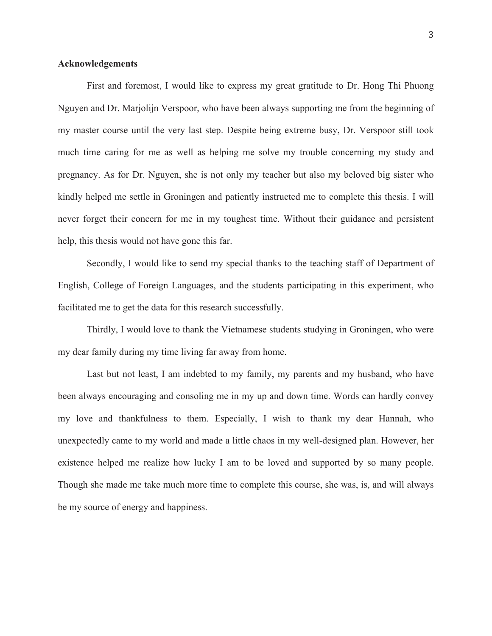## **Acknowledgements**

 First and foremost, I would like to express my great gratitude to Dr. Hong Thi Phuong Nguyen and Dr. Marjolijn Verspoor, who have been always supporting me from the beginning of my master course until the very last step. Despite being extreme busy, Dr. Verspoor still took much time caring for me as well as helping me solve my trouble concerning my study and pregnancy. As for Dr. Nguyen, she is not only my teacher but also my beloved big sister who kindly helped me settle in Groningen and patiently instructed me to complete this thesis. I will never forget their concern for me in my toughest time. Without their guidance and persistent help, this thesis would not have gone this far.

 Secondly, I would like to send my special thanks to the teaching staff of Department of English, College of Foreign Languages, and the students participating in this experiment, who facilitated me to get the data for this research successfully.

 Thirdly, I would love to thank the Vietnamese students studying in Groningen, who were my dear family during my time living far away from home.

 Last but not least, I am indebted to my family, my parents and my husband, who have been always encouraging and consoling me in my up and down time. Words can hardly convey my love and thankfulness to them. Especially, I wish to thank my dear Hannah, who unexpectedly came to my world and made a little chaos in my well-designed plan. However, her existence helped me realize how lucky I am to be loved and supported by so many people. Though she made me take much more time to complete this course, she was, is, and will always be my source of energy and happiness.